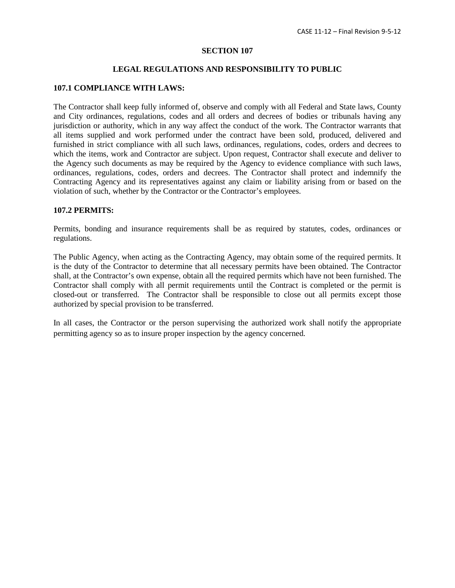# **SECTION 107**

## **LEGAL REGULATIONS AND RESPONSIBILITY TO PUBLIC**

#### **107.1 COMPLIANCE WITH LAWS:**

The Contractor shall keep fully informed of, observe and comply with all Federal and State laws, County and City ordinances, regulations, codes and all orders and decrees of bodies or tribunals having any jurisdiction or authority, which in any way affect the conduct of the work. The Contractor warrants that all items supplied and work performed under the contract have been sold, produced, delivered and furnished in strict compliance with all such laws, ordinances, regulations, codes, orders and decrees to which the items, work and Contractor are subject. Upon request, Contractor shall execute and deliver to the Agency such documents as may be required by the Agency to evidence compliance with such laws, ordinances, regulations, codes, orders and decrees. The Contractor shall protect and indemnify the Contracting Agency and its representatives against any claim or liability arising from or based on the violation of such, whether by the Contractor or the Contractor's employees.

# **107.2 PERMITS:**

Permits, bonding and insurance requirements shall be as required by statutes, codes, ordinances or regulations.

The Public Agency, when acting as the Contracting Agency, may obtain some of the required permits. It is the duty of the Contractor to determine that all necessary permits have been obtained. The Contractor shall, at the Contractor's own expense, obtain all the required permits which have not been furnished. The Contractor shall comply with all permit requirements until the Contract is completed or the permit is closed-out or transferred. The Contractor shall be responsible to close out all permits except those authorized by special provision to be transferred.

In all cases, the Contractor or the person supervising the authorized work shall notify the appropriate permitting agency so as to insure proper inspection by the agency concerned.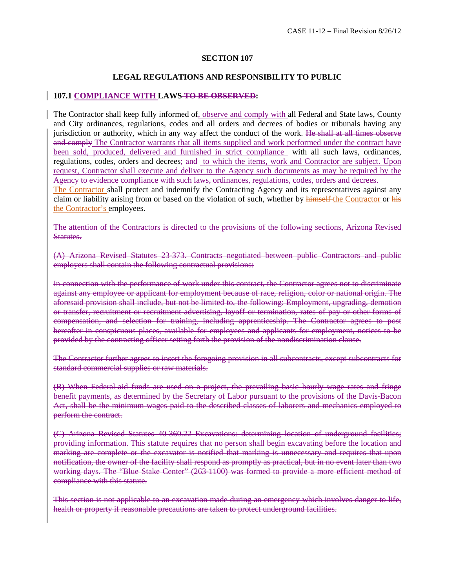# **SECTION 107**

# **LEGAL REGULATIONS AND RESPONSIBILITY TO PUBLIC**

# **107.1 COMPLIANCE WITH LAWS TO BE OBSERVED:**

The Contractor shall keep fully informed of, observe and comply with all Federal and State laws, County and City ordinances, regulations, codes and all orders and decrees of bodies or tribunals having any jurisdiction or authority, which in any way affect the conduct of the work. He shall at all times observe and comply The Contractor warrants that all items supplied and work performed under the contract have been sold, produced, delivered and furnished in strict compliance with all such laws, ordinances, regulations, codes, orders and decrees; and to which the items, work and Contractor are subject. Upon request, Contractor shall execute and deliver to the Agency such documents as may be required by the Agency to evidence compliance with such laws, ordinances, regulations, codes, orders and decrees.

The Contractor shall protect and indemnify the Contracting Agency and its representatives against any claim or liability arising from or based on the violation of such, whether by himself the Contractor or his the Contractor's employees.

The attention of the Contractors is directed to the provisions of the following sections, Arizona Revised Statutes.

(A) Arizona Revised Statutes 23-373. Contracts negotiated between public Contractors and public employers shall contain the following contractual provisions:

In connection with the performance of work under this contract, the Contractor agrees not to discriminate against any employee or applicant for employment because of race, religion, color or national origin. The aforesaid provision shall include, but not be limited to, the following: Employment, upgrading, demotion or transfer, recruitment or recruitment advertising, layoff or termination, rates of pay or other forms of compensation, and selection for training, including apprenticeship. The Contractor agrees to post hereafter in conspicuous places, available for employees and applicants for employment, notices to be provided by the contracting officer setting forth the provision of the nondiscrimination clause.

The Contractor further agrees to insert the foregoing provision in all subcontracts, except subcontracts for standard commercial supplies or raw materials.

(B) When Federal-aid funds are used on a project, the prevailing basic hourly wage rates and fringe benefit payments, as determined by the Secretary of Labor pursuant to the provisions of the Davis-Bacon Act, shall be the minimum wages paid to the described classes of laborers and mechanics employed to perform the contract.

(C) Arizona Revised Statutes 40-360.22 Excavations: determining location of underground facilities; providing information. This statute requires that no person shall begin excavating before the location and marking are complete or the excavator is notified that marking is unnecessary and requires that upon notification, the owner of the facility shall respond as promptly as practical, but in no event later than two working days. The "Blue Stake Center" (263-1100) was formed to provide a more efficient method of compliance with this statute.

This section is not applicable to an excavation made during an emergency which involves danger to life, health or property if reasonable precautions are taken to protect underground facilities.